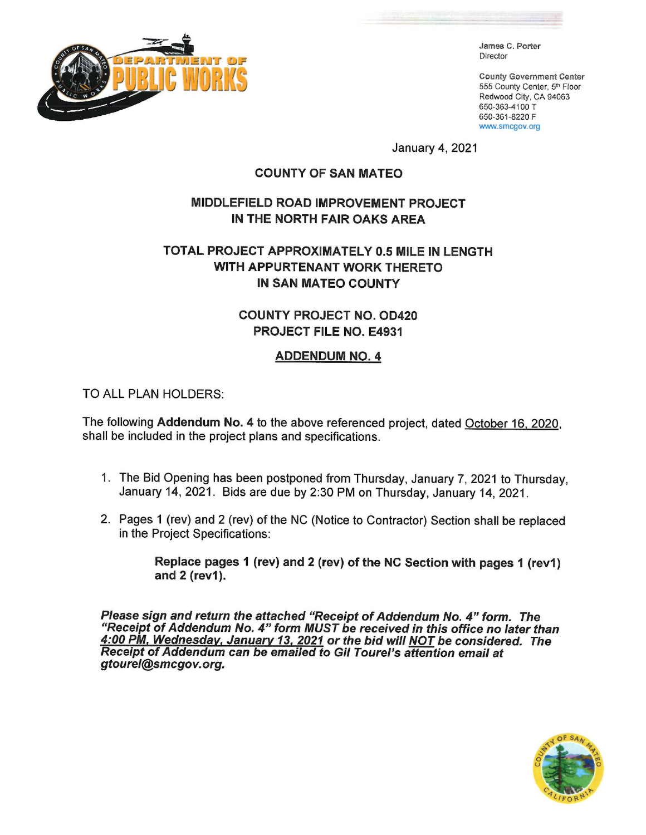

James C. Porter Director

**County Government Center** 555 County Center, 5th Floor Redwood City, CA 94063 650-363-4100 T 650-361-8220 F www.smcgov.org

January 4, 2021

## **COUNTY OF SAN MATEO**

# **MIDDLEFIELD ROAD IMPROVEMENT PROJECT** IN THE NORTH FAIR OAKS AREA

# TOTAL PROJECT APPROXIMATELY 0.5 MILE IN LENGTH WITH APPURTENANT WORK THERETO **IN SAN MATEO COUNTY**

# **COUNTY PROJECT NO. OD420 PROJECT FILE NO. E4931**

# **ADDENDUM NO. 4**

TO ALL PLAN HOLDERS:

The following Addendum No. 4 to the above referenced project, dated October 16, 2020, shall be included in the project plans and specifications.

- 1. The Bid Opening has been postponed from Thursday, January 7, 2021 to Thursday, January 14, 2021. Bids are due by 2:30 PM on Thursday, January 14, 2021.
- 2. Pages 1 (rev) and 2 (rev) of the NC (Notice to Contractor) Section shall be replaced in the Project Specifications:

Replace pages 1 (rev) and 2 (rev) of the NC Section with pages 1 (rev1) and 2 (rev1).

Please sign and return the attached "Receipt of Addendum No. 4" form. The "Receipt of Addendum No. 4" form MUST be received in this office no later than 4:00 PM, Wednesday, January 13, 2021 or the bid will NOT be considered. The<br>Receipt of Addendum can be emailed to Gil Tourel's attention email at gtourel@smcgov.org.

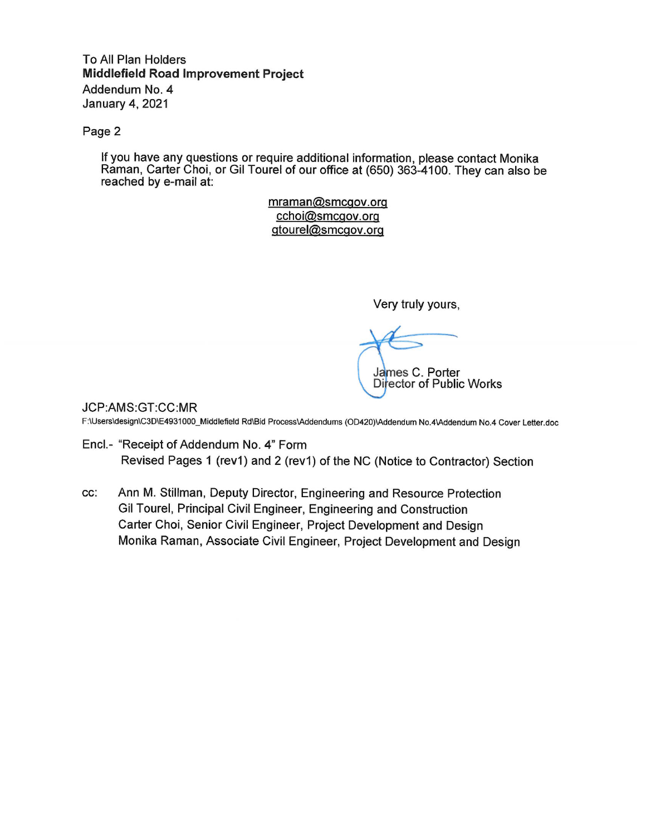To All Plan Holders **Middlefield Road Improvement Project** Addendum No. 4 **January 4, 2021** 

Page 2

If you have any questions or require additional information, please contact Monika Raman, Carter Choi, or Gil Tourel of our office at (650) 363-4100. They can also be reached by e-mail at:

> mraman@smcgov.org cchoi@smcgov.org gtourel@smcgov.org

> > Very truly yours,

James C. Porter **Director of Public Works** 

JCP:AMS:GT:CC:MR

F:\Users\design\C3D\E4931000\_Middlefield Rd\Bid Process\Addendums (OD420)\Addendum No.4\Addendum No.4 Cover Letter.doc

- Encl.- "Receipt of Addendum No. 4" Form Revised Pages 1 (rev1) and 2 (rev1) of the NC (Notice to Contractor) Section
- Ann M. Stillman, Deputy Director, Engineering and Resource Protection CC: Gil Tourel, Principal Civil Engineer, Engineering and Construction Carter Choi, Senior Civil Engineer, Project Development and Design Monika Raman, Associate Civil Engineer, Project Development and Design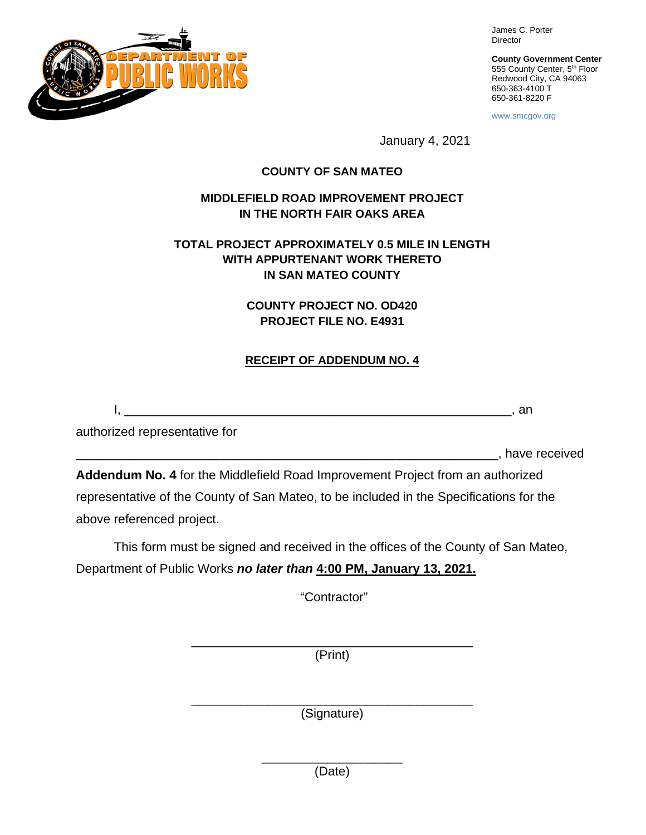

James C. Porter Director

**County Government Center** 555 County Center, 5<sup>th</sup> Floor Redwood City, CA 94063 650-363-4100 T 650-361-8220 F

www.smcgov.org

January 4, 2021

#### **COUNTY OF SAN MATEO**

#### **MIDDLEFIELD ROAD IMPROVEMENT PROJECT IN THE NORTH FAIR OAKS AREA**

### **TOTAL PROJECT APPROXIMATELY 0.5 MILE IN LENGTH WITH APPURTENANT WORK THERETO IN SAN MATEO COUNTY**

### **COUNTY PROJECT NO. OD420 PROJECT FILE NO. E4931**

#### **RECEIPT OF ADDENDUM NO. 4**

I, \_\_\_\_\_\_\_\_\_\_\_\_\_\_\_\_\_\_\_\_\_\_\_\_\_\_\_\_\_\_\_\_\_\_\_\_\_\_\_\_\_\_\_\_\_\_\_\_\_\_\_\_\_\_\_, an

authorized representative for

\_\_\_\_\_\_\_\_\_\_\_\_\_\_\_\_\_\_\_\_\_\_\_\_\_\_\_\_\_\_\_\_\_\_\_\_\_\_\_\_\_\_\_\_\_\_\_\_\_\_\_\_\_\_\_\_\_\_\_\_, have received

**Addendum No. 4** for the Middlefield Road Improvement Project from an authorized representative of the County of San Mateo, to be included in the Specifications for the above referenced project.

This form must be signed and received in the offices of the County of San Mateo, Department of Public Works *no later than* **4:00 PM, January 13, 2021.**

"Contractor"

\_\_\_\_\_\_\_\_\_\_\_\_\_\_\_\_\_\_\_\_\_\_\_\_\_\_\_\_\_\_\_\_\_\_\_\_\_\_\_\_ (Print)

\_\_\_\_\_\_\_\_\_\_\_\_\_\_\_\_\_\_\_\_\_\_\_\_\_\_\_\_\_\_\_\_\_\_\_\_\_\_\_\_ (Signature)

> \_\_\_\_\_\_\_\_\_\_\_\_\_\_\_\_\_\_\_\_ (Date)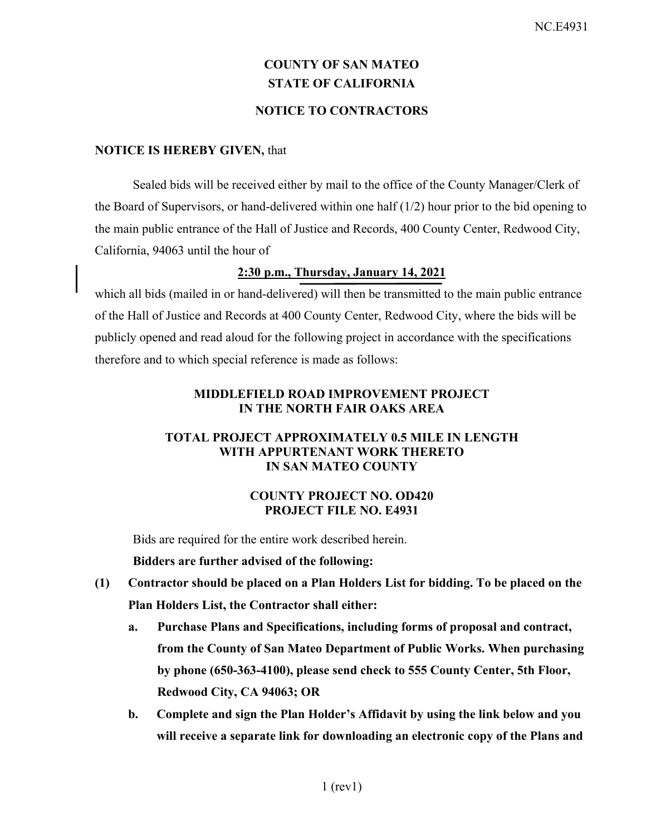# **COUNTY OF SAN MATEO STATE OF CALIFORNIA NOTICE TO CONTRACTORS**

#### **NOTICE IS HEREBY GIVEN,** that

Sealed bids will be received either by mail to the office of the County Manager/Clerk of the Board of Supervisors, or hand-delivered within one half (1/2) hour prior to the bid opening to the main public entrance of the Hall of Justice and Records, 400 County Center, Redwood City, California, 94063 until the hour of

# **2:30 p.m., Thursday, January 14, 2021**

which all bids (mailed in or hand-delivered) will then be transmitted to the main public entrance of the Hall of Justice and Records at 400 County Center, Redwood City, where the bids will be publicly opened and read aloud for the following project in accordance with the specifications therefore and to which special reference is made as follows:

#### **MIDDLEFIELD ROAD IMPROVEMENT PROJECT IN THE NORTH FAIR OAKS AREA**

#### **TOTAL PROJECT APPROXIMATELY 0.5 MILE IN LENGTH WITH APPURTENANT WORK THERETO IN SAN MATEO COUNTY**

#### **COUNTY PROJECT NO. OD420 PROJECT FILE NO. E4931**

Bids are required for the entire work described herein.

**Bidders are further advised of the following:** 

- **(1) Contractor should be placed on a Plan Holders List for bidding. To be placed on the Plan Holders List, the Contractor shall either:** 
	- **a. Purchase Plans and Specifications, including forms of proposal and contract, from the County of San Mateo Department of Public Works. When purchasing by phone (650-363-4100), please send check to 555 County Center, 5th Floor, Redwood City, CA 94063; OR**
	- **b. Complete and sign the Plan Holder's Affidavit by using the link below and you will receive a separate link for downloading an electronic copy of the Plans and**